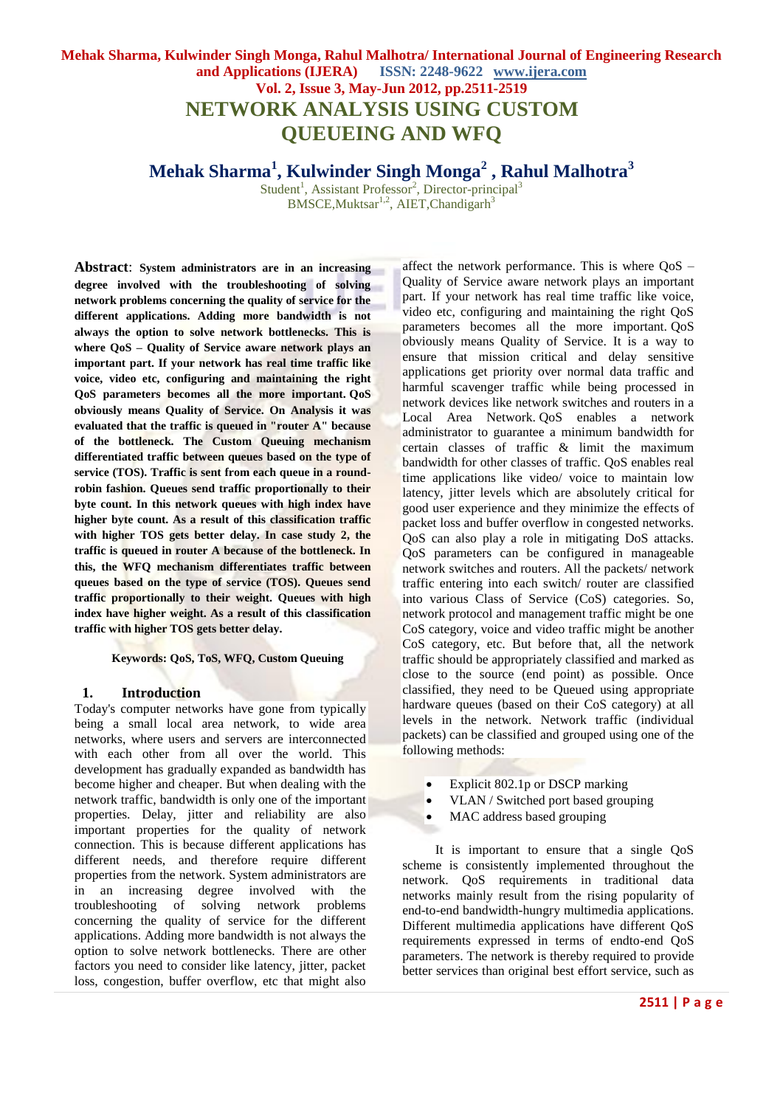## **Mehak Sharma, Kulwinder Singh Monga, Rahul Malhotra/ International Journal of Engineering Research and Applications (IJERA) ISSN: 2248-9622 www.ijera.com Vol. 2, Issue 3, May-Jun 2012, pp.2511-2519 NETWORK ANALYSIS USING CUSTOM QUEUEING AND WFQ**

# **Mehak Sharma<sup>1</sup> , Kulwinder Singh Monga<sup>2</sup> , Rahul Malhotra<sup>3</sup>**

Student<sup>1</sup>, Assistant Professor<sup>2</sup>, Director-principal<sup>3</sup>  $BMSCE, Muktsar<sup>1,2</sup>, AIET, Chandigarh<sup>3</sup>$ 

**Abstract**: **System administrators are in an increasing degree involved with the troubleshooting of solving network problems concerning the quality of service for the different applications. Adding more bandwidth is not always the option to solve network bottlenecks. This is where QoS – Quality of Service aware network plays an important part. If your network has real time traffic like voice, video etc, configuring and maintaining the right QoS parameters becomes all the more important. QoS obviously means Quality of Service. On Analysis it was evaluated that the traffic is queued in "router A" because of the bottleneck. The Custom Queuing mechanism differentiated traffic between queues based on the type of service (TOS). Traffic is sent from each queue in a roundrobin fashion. Queues send traffic proportionally to their byte count. In this network queues with high index have higher byte count. As a result of this classification traffic with higher TOS gets better delay. In case study 2, the traffic is queued in router A because of the bottleneck. In this, the WFQ mechanism differentiates traffic between queues based on the type of service (TOS). Queues send traffic proportionally to their weight. Queues with high index have higher weight. As a result of this classification traffic with higher TOS gets better delay.**

**Keywords: QoS, ToS, WFQ, Custom Queuing**

#### **1. Introduction**

Today's computer networks have gone from typically being a small local area network, to wide area networks, where users and servers are interconnected with each other from all over the world. This development has gradually expanded as bandwidth has become higher and cheaper. But when dealing with the network traffic, bandwidth is only one of the important properties. Delay, jitter and reliability are also important properties for the quality of network connection. This is because different applications has different needs, and therefore require different properties from the network. System administrators are in an increasing degree involved with the troubleshooting of solving network problems concerning the quality of service for the different applications. Adding more bandwidth is not always the option to solve network bottlenecks. There are other factors you need to consider like latency, jitter, packet loss, congestion, buffer overflow, etc that might also

affect the network performance. This is where QoS – Quality of Service aware network plays an important part. If your network has real time traffic like voice, video etc, configuring and maintaining the right QoS parameters becomes all the more important. QoS obviously means Quality of Service. It is a way to ensure that mission critical and delay sensitive applications get priority over normal data traffic and harmful scavenger traffic while being processed in network devices like network switches and routers in a Local Area Network. QoS enables a network administrator to guarantee a minimum bandwidth for certain classes of traffic & limit the maximum bandwidth for other classes of traffic. QoS enables real time applications like video/ voice to maintain low latency, jitter levels which are absolutely critical for good user experience and they minimize the effects of packet loss and buffer overflow in congested networks. QoS can also play a role in mitigating DoS attacks. QoS parameters can be configured in manageable network switches and routers. All the packets/ network traffic entering into each switch/ router are classified into various Class of Service (CoS) categories. So, network protocol and management traffic might be one CoS category, voice and video traffic might be another CoS category, etc. But before that, all the network traffic should be appropriately classified and marked as close to the source (end point) as possible. Once classified, they need to be Queued using appropriate hardware queues (based on their CoS category) at all levels in the network. Network traffic (individual packets) can be classified and grouped using one of the following methods:

- Explicit 802.1p or DSCP marking
- VLAN / Switched port based grouping
- MAC address based grouping

It is important to ensure that a single QoS scheme is consistently implemented throughout the network. QoS requirements in traditional data networks mainly result from the rising popularity of end-to-end bandwidth-hungry multimedia applications. Different multimedia applications have different QoS requirements expressed in terms of endto-end QoS parameters. The network is thereby required to provide better services than original best effort service, such as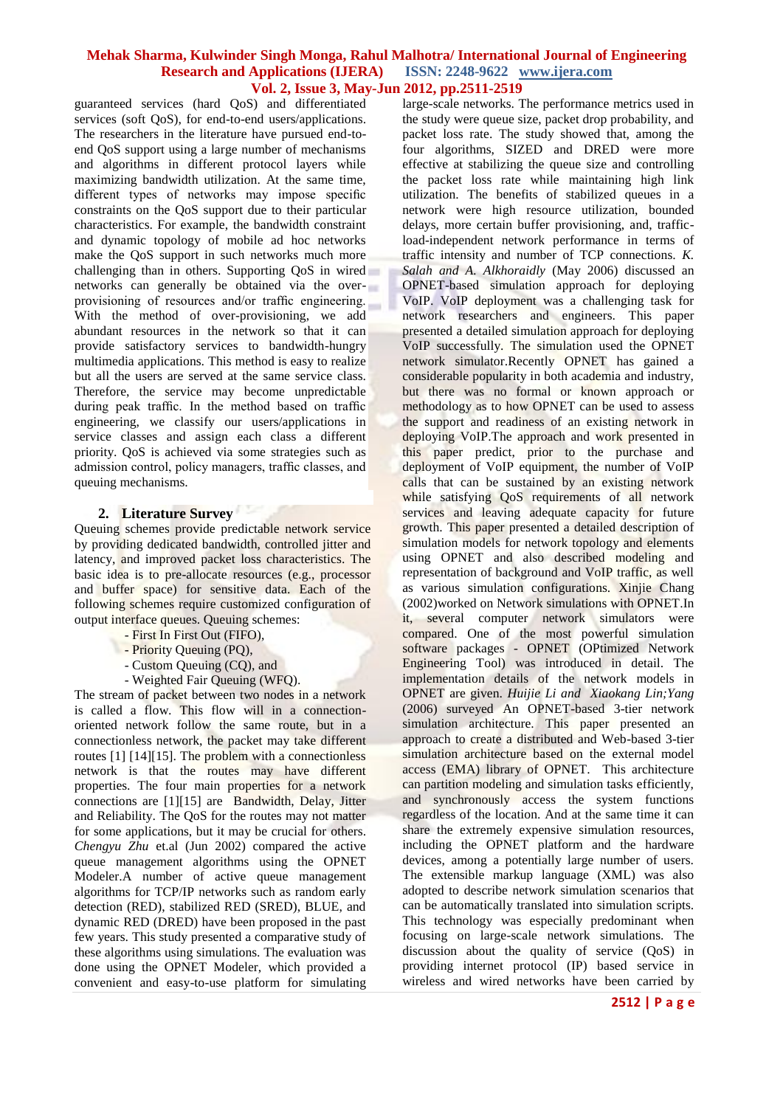guaranteed services (hard QoS) and differentiated services (soft QoS), for end-to-end users/applications. The researchers in the literature have pursued end-toend QoS support using a large number of mechanisms and algorithms in different protocol layers while maximizing bandwidth utilization. At the same time, different types of networks may impose specific constraints on the QoS support due to their particular characteristics. For example, the bandwidth constraint and dynamic topology of mobile ad hoc networks make the QoS support in such networks much more challenging than in others. Supporting QoS in wired networks can generally be obtained via the overprovisioning of resources and/or traffic engineering. With the method of over-provisioning, we add abundant resources in the network so that it can provide satisfactory services to bandwidth-hungry multimedia applications. This method is easy to realize but all the users are served at the same service class. Therefore, the service may become unpredictable during peak traffic. In the method based on traffic engineering, we classify our users/applications in service classes and assign each class a different priority. QoS is achieved via some strategies such as admission control, policy managers, traffic classes, and queuing mechanisms.

### **2. Literature Survey**

Queuing schemes provide predictable network service by providing dedicated bandwidth, controlled jitter and latency, and improved packet loss characteristics. The basic idea is to pre-allocate resources (e.g., processor and buffer space) for sensitive data. Each of the following schemes require customized configuration of output interface queues. Queuing schemes:

- First In First Out (FIFO),
- Priority Queuing (PQ),
- Custom Queuing (CQ), and
- Weighted Fair Queuing (WFQ).

The stream of packet between two nodes in a network is called a flow. This flow will in a connectionoriented network follow the same route, but in a connectionless network, the packet may take different routes [1] [14][15]. The problem with a connectionless network is that the routes may have different properties. The four main properties for a network connections are [1][15] are Bandwidth, Delay, Jitter and Reliability. The QoS for the routes may not matter for some applications, but it may be crucial for others. *Chengyu Zhu* et.al (Jun 2002) compared the active queue management algorithms using the OPNET Modeler.A number of active queue management algorithms for TCP/IP networks such as random early detection (RED), stabilized RED (SRED), BLUE, and dynamic RED (DRED) have been proposed in the past few years. This study presented a comparative study of these algorithms using simulations. The evaluation was done using the OPNET Modeler, which provided a convenient and easy-to-use platform for simulating

large-scale networks. The performance metrics used in the study were queue size, packet drop probability, and packet loss rate. The study showed that, among the four algorithms, SIZED and DRED were more effective at stabilizing the queue size and controlling the packet loss rate while maintaining high link utilization. The benefits of stabilized queues in a network were high resource utilization, bounded delays, more certain buffer provisioning, and, trafficload-independent network performance in terms of traffic intensity and number of TCP connections. *K. Salah and A. Alkhoraidly* (May 2006) discussed an OPNET-based simulation approach for deploying VoIP. VoIP deployment was a challenging task for network researchers and engineers. This paper presented a detailed simulation approach for deploying VoIP successfully. The simulation used the OPNET network simulator.Recently OPNET has gained a considerable popularity in both academia and industry, but there was no formal or known approach or methodology as to how OPNET can be used to assess the support and readiness of an existing network in deploying VoIP. The approach and work presented in this paper predict, prior to the purchase and deployment of VoIP equipment, the number of VoIP calls that can be sustained by an existing network while satisfying QoS requirements of all network services and leaving adequate capacity for future growth. This paper presented a detailed description of simulation models for network topology and elements using OPNET and also described modeling and representation of background and VoIP traffic, as well as various simulation configurations. Xinjie Chang (2002)worked on Network simulations with OPNET.In it, several computer network simulators were compared. One of the most powerful simulation software packages - OPNET (OPtimized Network Engineering Tool) was introduced in detail. The implementation details of the network models in OPNET are given. *Huijie Li and Xiaokang Lin;Yang* (2006) surveyed An OPNET-based 3-tier network simulation architecture. This paper presented an approach to create a distributed and Web-based 3-tier simulation architecture based on the external model access (EMA) library of OPNET. This architecture can partition modeling and simulation tasks efficiently, and synchronously access the system functions regardless of the location. And at the same time it can share the extremely expensive simulation resources, including the OPNET platform and the hardware devices, among a potentially large number of users. The extensible markup language (XML) was also adopted to describe network simulation scenarios that can be automatically translated into simulation scripts. This technology was especially predominant when focusing on large-scale network simulations. The discussion about the quality of service (QoS) in providing internet protocol (IP) based service in wireless and wired networks have been carried by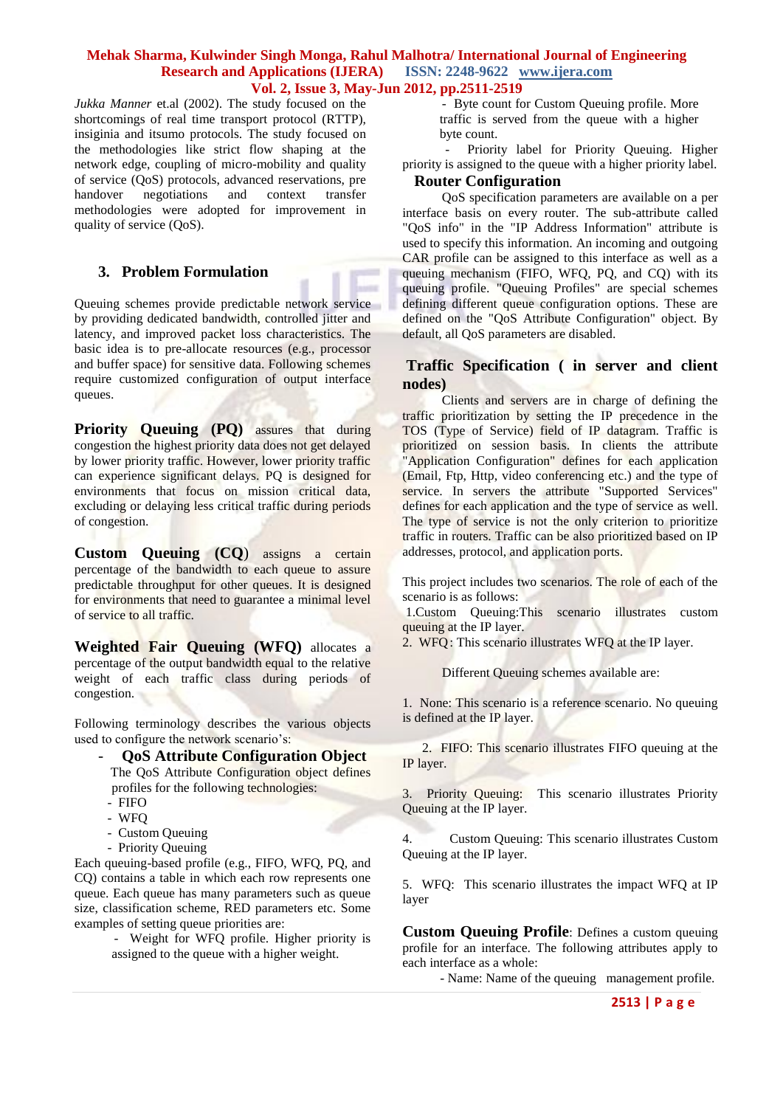*Jukka Manner* et.al (2002). The study focused on the shortcomings of real time transport protocol (RTTP), insiginia and itsumo protocols. The study focused on the methodologies like strict flow shaping at the network edge, coupling of micro-mobility and quality of service (QoS) protocols, advanced reservations, pre handover negotiations and context transfer methodologies were adopted for improvement in quality of service (QoS).

### **3. Problem Formulation**

Queuing schemes provide predictable network service by providing dedicated bandwidth, controlled jitter and latency, and improved packet loss characteristics. The basic idea is to pre-allocate resources (e.g., processor and buffer space) for sensitive data. Following schemes require customized configuration of output interface queues.

**Priority Queuing (PQ)** assures that during congestion the highest priority data does not get delayed by lower priority traffic. However, lower priority traffic can experience significant delays. PQ is designed for environments that focus on mission critical data, excluding or delaying less critical traffic during periods of congestion.

**Custom Queuing (CQ**) assigns a certain percentage of the bandwidth to each queue to assure predictable throughput for other queues. It is designed for environments that need to guarantee a minimal level of service to all traffic.

**Weighted Fair Queuing (WFQ)** allocates a percentage of the output bandwidth equal to the relative weight of each traffic class during periods of congestion.

Following terminology describes the various objects used to configure the network scenario's:

- **QoS Attribute Configuration Object** The QoS Attribute Configuration object defines profiles for the following technologies:
- FIFO
- WFQ
- Custom Queuing
- Priority Queuing

Each queuing-based profile (e.g., FIFO, WFQ, PQ, and CQ) contains a table in which each row represents one queue. Each queue has many parameters such as queue size, classification scheme, RED parameters etc. Some examples of setting queue priorities are:

> - Weight for WFQ profile. Higher priority is assigned to the queue with a higher weight.

 - Byte count for Custom Queuing profile. More traffic is served from the queue with a higher byte count.

 - Priority label for Priority Queuing. Higher priority is assigned to the queue with a higher priority label.

### **Router Configuration**

 QoS specification parameters are available on a per interface basis on every router. The sub-attribute called "QoS info" in the "IP Address Information" attribute is used to specify this information. An incoming and outgoing CAR profile can be assigned to this interface as well as a queuing mechanism (FIFO, WFQ, PQ, and CQ) with its queuing profile. "Queuing Profiles" are special schemes defining different queue configuration options. These are defined on the "QoS Attribute Configuration" object. By default, all QoS parameters are disabled.

### **Traffic Specification ( in server and client nodes)**

 Clients and servers are in charge of defining the traffic prioritization by setting the IP precedence in the TOS (Type of Service) field of IP datagram. Traffic is prioritized on session basis. In clients the attribute "Application Configuration" defines for each application (Email, Ftp, Http, video conferencing etc.) and the type of service. In servers the attribute "Supported Services" defines for each application and the type of service as well. The type of service is not the only criterion to prioritize traffic in routers. Traffic can be also prioritized based on IP addresses, protocol, and application ports.

This project includes two scenarios. The role of each of the scenario is as follows:

1.Custom Queuing:This scenario illustrates custom queuing at the IP layer.

2. WFQ: This scenario illustrates WFQ at the IP layer.

Different Queuing schemes available are:

1. None: This scenario is a reference scenario. No queuing is defined at the IP layer.

 2. FIFO: This scenario illustrates FIFO queuing at the IP layer.

3. Priority Queuing: This scenario illustrates Priority Queuing at the IP layer.

4. Custom Queuing: This scenario illustrates Custom Queuing at the IP layer.

5. WFQ: This scenario illustrates the impact WFQ at IP layer

**Custom Queuing Profile**: Defines a custom queuing profile for an interface. The following attributes apply to each interface as a whole:

- Name: Name of the queuing management profile.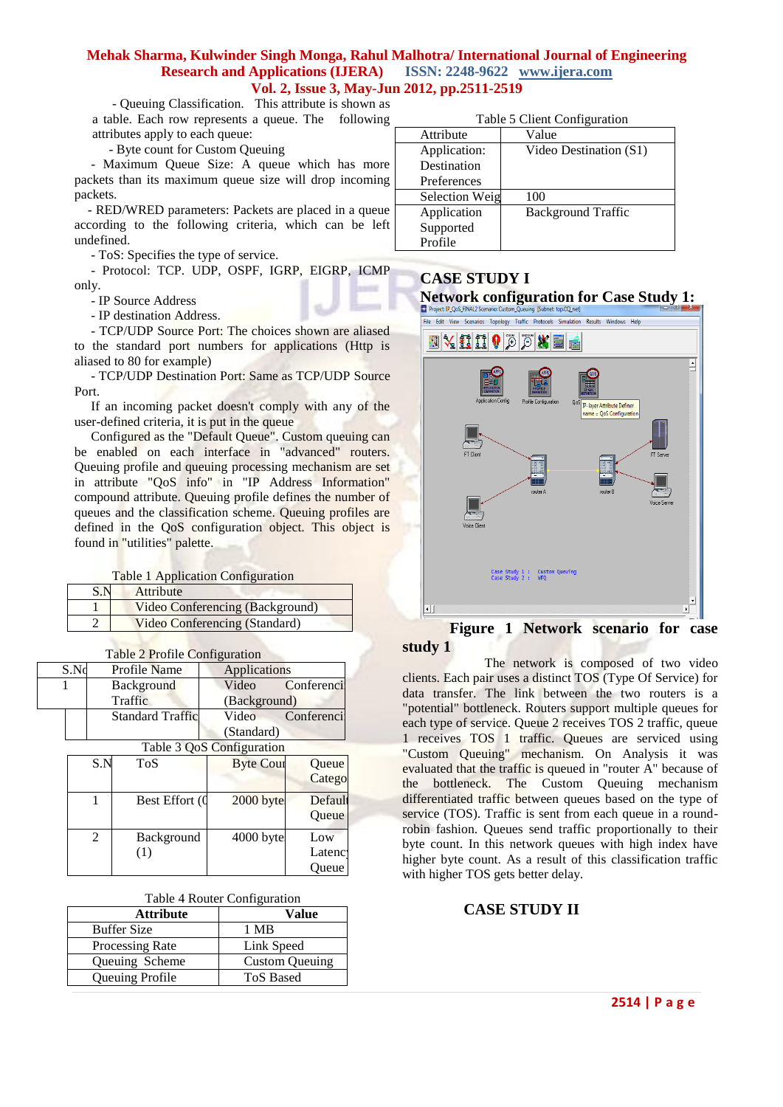- Queuing Classification. This attribute is shown as

a table. Each row represents a queue. The following attributes apply to each queue:

- Byte count for Custom Queuing

 - Maximum Queue Size: A queue which has more packets than its maximum queue size will drop incoming packets.

 - RED/WRED parameters: Packets are placed in a queue according to the following criteria, which can be left undefined.

- ToS: Specifies the type of service.

 - Protocol: TCP. UDP, OSPF, IGRP, EIGRP, ICMP only.

- IP Source Address

- IP destination Address.

 - TCP/UDP Source Port: The choices shown are aliased to the standard port numbers for applications (Http is aliased to 80 for example)

 - TCP/UDP Destination Port: Same as TCP/UDP Source Port.

 If an incoming packet doesn't comply with any of the user-defined criteria, it is put in the queue

 Configured as the "Default Queue". Custom queuing can be enabled on each interface in "advanced" routers. Queuing profile and queuing processing mechanism are set in attribute "QoS info" in "IP Address Information" compound attribute. Queuing profile defines the number of queues and the classification scheme. Queuing profiles are defined in the QoS configuration object. This object is found in "utilities" palette.

|  | Table 1 Application Configuration |
|--|-----------------------------------|
|  |                                   |

|  | <b>Attribute</b>                |
|--|---------------------------------|
|  | Video Conferencing (Background) |
|  | Video Conferencing (Standard)   |

| Table 2 Profile Configuration |                  |              |                         |                  |            |
|-------------------------------|------------------|--------------|-------------------------|------------------|------------|
|                               | S.N <sub>d</sub> |              | Profile Name            | Applications     |            |
|                               |                  | Background   |                         | Video            | Conferenci |
| Traffic                       |                  | (Background) |                         |                  |            |
|                               |                  |              | <b>Standard Traffic</b> | Video            | Conferenci |
|                               |                  |              |                         | (Standard)       |            |
| Table 3 QoS Configuration     |                  |              |                         |                  |            |
|                               |                  | S.N          | <b>ToS</b>              | <b>Byte Cour</b> | Queue      |
|                               |                  |              |                         |                  |            |

| .                           | ± V⊌            | $D$ y to $C$ out | vuvuv<br>Catego        |
|-----------------------------|-----------------|------------------|------------------------|
|                             | Best Effort (0  | 2000 byte        | Default<br>Queue       |
| $\mathcal{D}_{\mathcal{L}}$ | Background<br>T | $4000$ byte      | Low<br>Latenc<br>Queue |

| Table 4 Router Configuration |  |
|------------------------------|--|
|------------------------------|--|

| <b>Attribute</b>   | Value                 |
|--------------------|-----------------------|
| <b>Buffer Size</b> | 1 MB                  |
| Processing Rate    | Link Speed            |
| Queuing Scheme     | <b>Custom Queuing</b> |
| Queuing Profile    | <b>ToS Based</b>      |

| Table 5 Client Configuration |  |
|------------------------------|--|
|------------------------------|--|

| Attribute             | Value                     |
|-----------------------|---------------------------|
| Application:          | Video Destination (S1)    |
| Destination           |                           |
| Preferences           |                           |
| <b>Selection Weig</b> | 100                       |
| Application           | <b>Background Traffic</b> |
| Supported             |                           |
| Profile               |                           |

### **CASE STUDY I**

**Network configuration for Case Study 1:** 



### **Figure 1 Network scenario for case study 1**

 The network is composed of two video clients. Each pair uses a distinct TOS (Type Of Service) for data transfer. The link between the two routers is a "potential" bottleneck. Routers support multiple queues for each type of service. Queue 2 receives TOS 2 traffic, queue 1 receives TOS 1 traffic. Queues are serviced using "Custom Queuing" mechanism. On Analysis it was evaluated that the traffic is queued in "router A" because of the bottleneck. The Custom Queuing mechanism differentiated traffic between queues based on the type of service (TOS). Traffic is sent from each queue in a roundrobin fashion. Queues send traffic proportionally to their byte count. In this network queues with high index have higher byte count. As a result of this classification traffic with higher TOS gets better delay.

### **CASE STUDY II**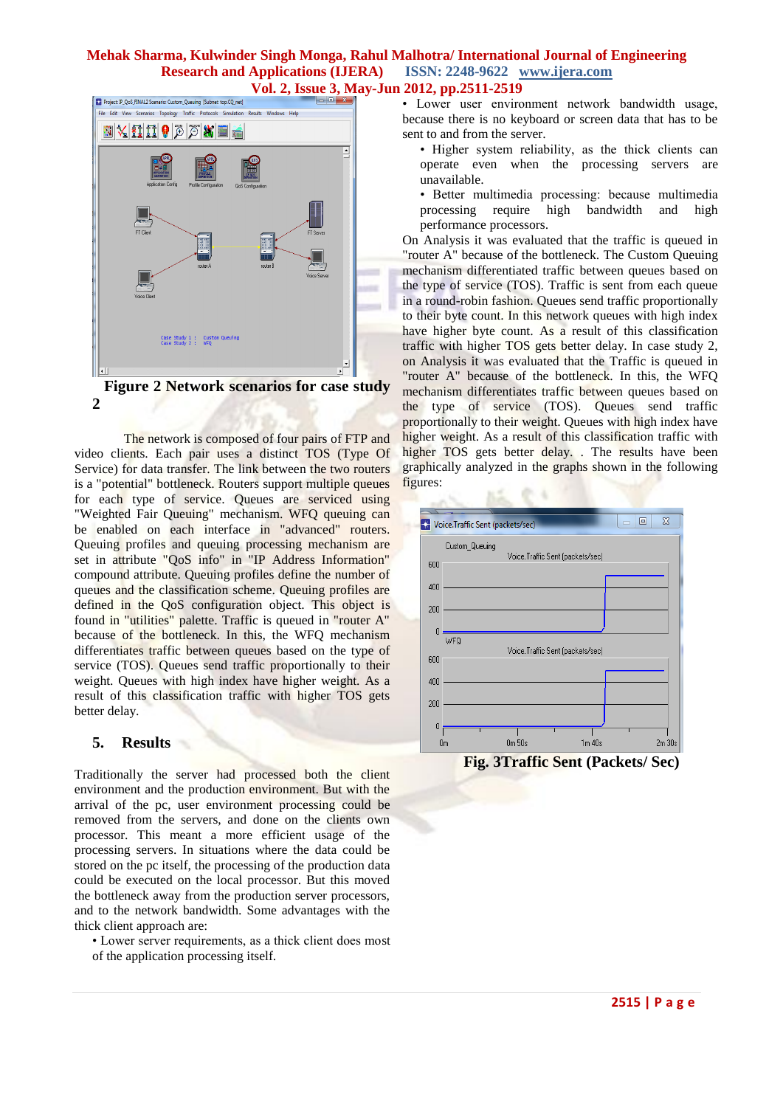

 **Figure 2 Network scenarios for case study 2**

 The network is composed of four pairs of FTP and video clients. Each pair uses a distinct TOS (Type Of Service) for data transfer. The link between the two routers is a "potential" bottleneck. Routers support multiple queues for each type of service. Queues are serviced using "Weighted Fair Queuing" mechanism. WFQ queuing can be enabled on each interface in "advanced" routers. Queuing profiles and queuing processing mechanism are set in attribute "QoS info" in "IP Address Information" compound attribute. Queuing profiles define the number of queues and the classification scheme. Queuing profiles are defined in the QoS configuration object. This object is found in "utilities" palette. Traffic is queued in "router A" because of the bottleneck. In this, the WFQ mechanism differentiates traffic between queues based on the type of service (TOS). Queues send traffic proportionally to their weight. Queues with high index have higher weight. As a result of this classification traffic with higher TOS gets better delay.

### **5. Results**

Traditionally the server had processed both the client environment and the production environment. But with the arrival of the pc, user environment processing could be removed from the servers, and done on the clients own processor. This meant a more efficient usage of the processing servers. In situations where the data could be stored on the pc itself, the processing of the production data could be executed on the local processor. But this moved the bottleneck away from the production server processors, and to the network bandwidth. Some advantages with the thick client approach are:

• Lower server requirements, as a thick client does most of the application processing itself.

• Lower user environment network bandwidth usage, because there is no keyboard or screen data that has to be sent to and from the server.

- Higher system reliability, as the thick clients can operate even when the processing servers are unavailable.
- Better multimedia processing: because multimedia processing require high bandwidth and high performance processors.

On Analysis it was evaluated that the traffic is queued in "router A" because of the bottleneck. The Custom Queuing mechanism differentiated traffic between queues based on the type of service (TOS). Traffic is sent from each queue in a round-robin fashion. Queues send traffic proportionally to their byte count. In this network queues with high index have higher byte count. As a result of this classification traffic with higher TOS gets better delay. In case study 2, on Analysis it was evaluated that the Traffic is queued in "router A" because of the bottleneck. In this, the WFQ mechanism differentiates traffic between queues based on the type of service (TOS). Queues send traffic proportionally to their weight. Queues with high index have higher weight. As a result of this classification traffic with higher TOS gets better delay. . The results have been graphically analyzed in the graphs shown in the following figures:



 **Fig. 3Traffic Sent (Packets/ Sec)**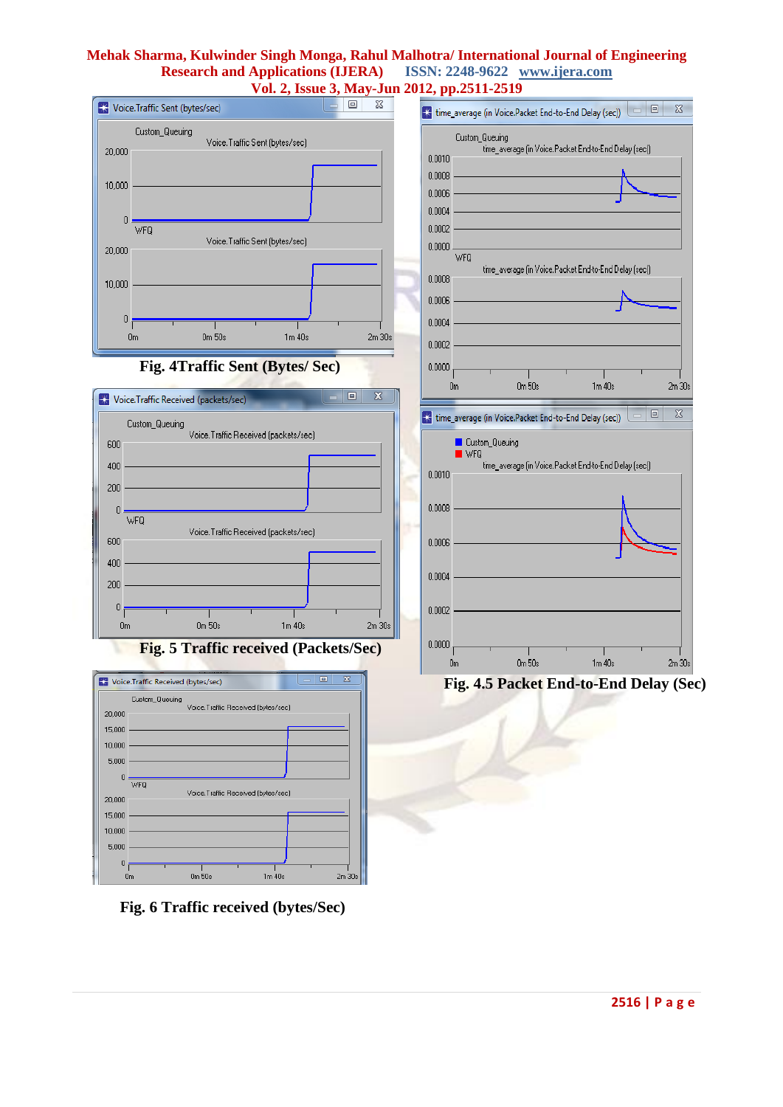



**Fig. 5 Traffic received (Packets/Sec)** 



 **Fig. 6 Traffic received (bytes/Sec)**



 **Fig. 4.5 Packet End-to-End Delay (Sec)**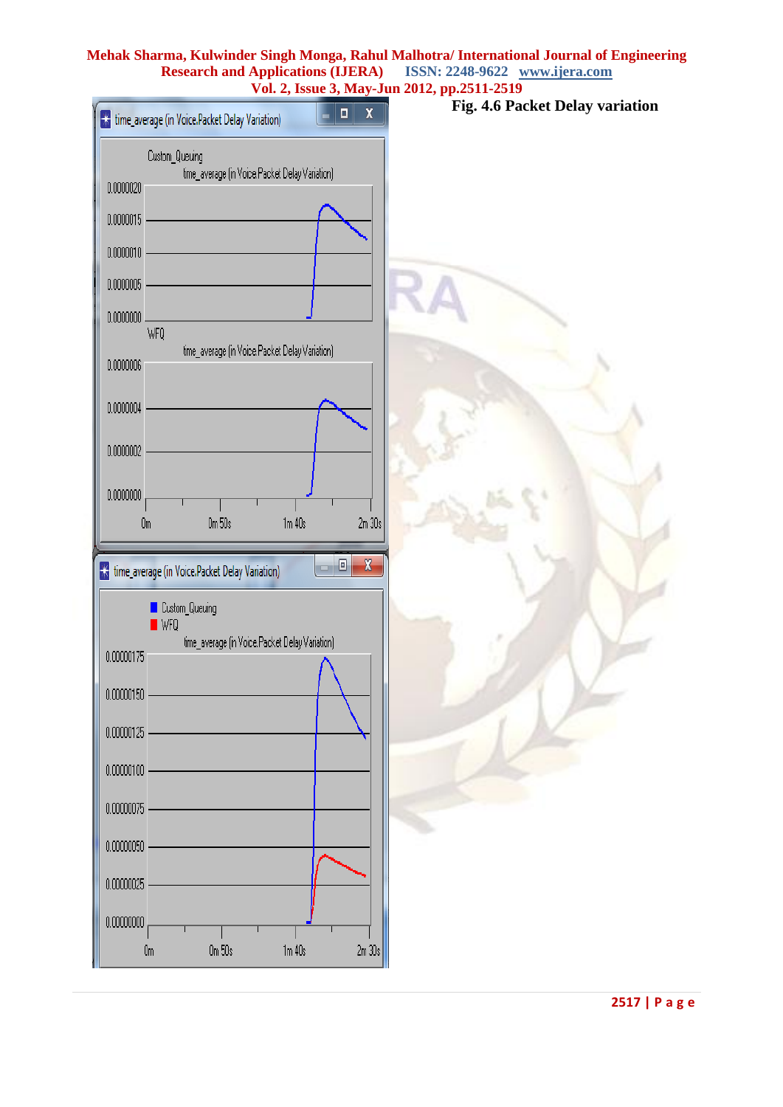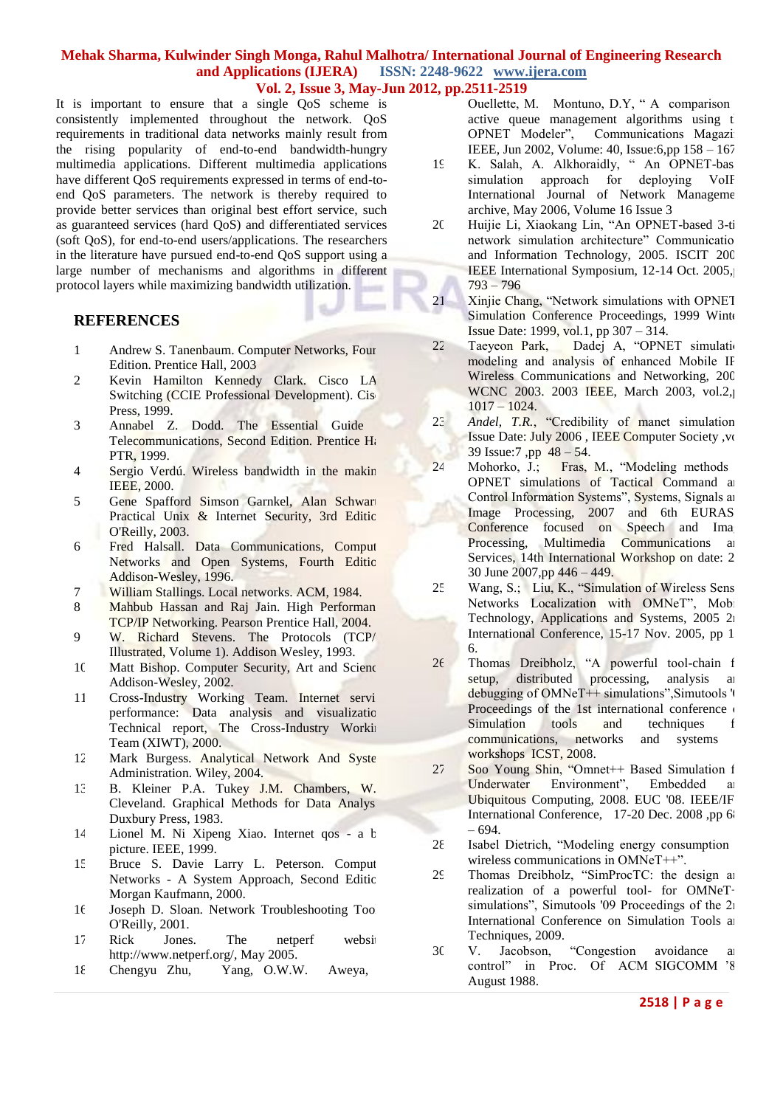It is important to ensure that a single QoS scheme is consistently implemented throughout the network. QoS requirements in traditional data networks mainly result from the rising popularity of end-to-end bandwidth-hungry multimedia applications. Different multimedia applications have different QoS requirements expressed in terms of end-toend QoS parameters. The network is thereby required to provide better services than original best effort service, such as guaranteed services (hard QoS) and differentiated services (soft QoS), for end-to-end users/applications. The researchers in the literature have pursued end-to-end QoS support using a large number of mechanisms and algorithms in different protocol layers while maximizing bandwidth utilization.

### **REFERENCES**

1 Andrew S. Tanenbaum. Computer Networks, Four Edition. Prentice Hall, 2003

s.

- 2 Kevin Hamilton Kennedy Clark. Cisco LA Switching (CCIE Professional Development). Cis Press, 1999.
- 3 Annabel Z. Dodd. The Essential Guide Telecommunications, Second Edition. Prentice Ha PTR, 1999.
- 4 Sergio Verdú. Wireless bandwidth in the makin IEEE, 2000.
- 5 Gene Spafford Simson Garnkel, Alan Schwart Practical Unix & Internet Security, 3rd Editic O'Reilly, 2003.
- 6 Fred Halsall. Data Communications, Comput Networks and Open Systems, Fourth Editic Addison-Wesley, 1996.
- 7 William Stallings. Local networks. ACM, 1984.
- 8 Mahbub Hassan and Raj Jain. High Performan TCP/IP Networking. Pearson Prentice Hall, 2004.
- 9 W. Richard Stevens. The Protocols (TCP/ Illustrated, Volume 1). Addison Wesley, 1993.
- 10 Matt Bishop. Computer Security, Art and Science Addison-Wesley, 2002.
- 11 Cross-Industry Working Team. Internet servi performance: Data analysis and visualization Technical report, The Cross-Industry Working Team (XIWT), 2000.
- 12 Mark Burgess. Analytical Network And Syste Administration. Wiley, 2004.
- 13 B. Kleiner P.A. Tukey J.M. Chambers, W. Cleveland. Graphical Methods for Data Analys Duxbury Press, 1983.
- 14 Lionel M. Ni Xipeng Xiao. Internet qos a big picture. IEEE, 1999.
- 15 Bruce S. Davie Larry L. Peterson. Comput Networks - A System Approach, Second Editic Morgan Kaufmann, 2000.
- 16 Joseph D. Sloan. Network Troubleshooting Too O'Reilly, 2001.
- 17 Rick Jones. The netperf website. http://www.netperf.org/, May 2005.
- 18 Chengyu Zhu, Yang, O.W.W. Aweya,

Ouellette, M. Montuno, D.Y, "A comparison active queue management algorithms using the OPNET Modeler", Communications Magazin IEEE, Jun 2002, Volume: 40, Issue:6,pp 158 – 167.

- 19 K. Salah, A. Alkhoraidly, "An OPNET-base simulation approach for deploying VoIF International Journal of Network Management archive, May 2006, Volume 16 Issue 3
- 20 Huijie Li, Xiaokang Lin, "An OPNET-based 3-ti network simulation architecture" Communications and Information Technology, 2005. ISCIT 200 IEEE International Symposium, 12-14 Oct. 2005, 793 – 796
- 21 Xinjie Chang, "Network simulations with OPNET" Simulation Conference Proceedings, 1999 Winter Issue Date: 1999, vol.1, pp 307 – 314.
- 22 Taeyeon Park, Dadej A, "OPNET simulation modeling and analysis of enhanced Mobile IF Wireless Communications and Networking, 200 WCNC 2003. 2003 IEEE, March 2003, vol.2,  $1017 - 1024.$
- 23 *Andel, T.R.*, "Credibility of manet simulation Issue Date: July 2006, IEEE Computer Society, vol 39 Issue:7 ,pp 48 – 54.
- 24 Mohorko, J.; Fras, M., "Modeling methods OPNET simulations of Tactical Command and Control Information Systems", Systems, Signals and Image Processing, 2007 and 6th EURAS Conference focused on Speech and Image Processing, Multimedia Communications and Services, 14th International Workshop on date: 2 30 June 2007,pp 446 – 449.
- 25 Wang, S.; Liu, K., "Simulation of Wireless Sens Networks Localization with OMNeT", Mobi Technology, Applications and Systems, 2005 2nd International Conference, 15-17 Nov. 2005, pp 1 – 6.
- $26$  Thomas Dreibholz, "A powerful tool-chain f setup, distributed processing, analysis and debugging of  $OMNeT++$  simulations", Simutools  $\mathsf{N}$ Proceedings of the 1st international conference  $\alpha$ Simulation tools and techniques for communications, networks and systems workshops ICST, 2008.
- 27 Soo Young Shin, "Omnet++ Based Simulation for Underwater Environment", Embedded and Ubiquitous Computing, 2008. EUC '08. IEEE/IF International Conference, 17-20 Dec. 2008 ,pp 6 – 694.
- $28$  Isabel Dietrich, "Modeling energy consumption wireless communications in OMNeT++".
- $2\frac{2}{}{}$  Thomas Dreibholz, "SimProcTC: the design and realization of a powerful tool- for OMNeTsimulations", Simutools '09 Proceedings of the  $2<sub>1</sub>$ International Conference on Simulation Tools and Techniques, 2009.
- 30 V. Jacobson, "Congestion avoidance and control" in Proc. Of ACM SIGCOMM '8 August 1988.